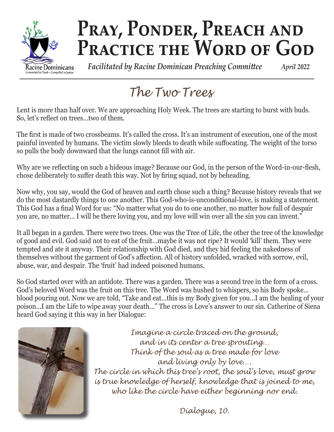

# PRAY, PONDER, PREACH AND PRACTICE THE WORD OF GOD

 *Facilitated by Racine Dominican Preaching Committee April 2022*

## *The Two Trees*

Lent is more than half over. We are approaching Holy Week. The trees are starting to burst with buds. So, let's reflect on trees…two of them.

The first is made of two crossbeams. It's called the cross. It's an instrument of execution, one of the most painful invented by humans. The victim slowly bleeds to death while suffocating. The weight of the torso so pulls the body downward that the lungs cannot fill with air.

Why are we reflecting on such a hideous image? Because our God, in the person of the Word-in-our-flesh, chose deliberately to suffer death this way. Not by firing squad, not by beheading.

Now why, you say, would the God of heaven and earth chose such a thing? Because history reveals that we do the most dastardly things to one another. This God-who-is-unconditional-love, is making a statement. This God has a final Word for us: "No matter what you do to one another, no matter how full of despair you are, no matter… I will be there loving you, and my love will win over all the sin you can invent."

It all began in a garden. There were two trees. One was the Tree of Life, the other the tree of the knowledge of good and evil. God said not to eat of the fruit…maybe it was not ripe? It would 'kill' them. They were tempted and ate it anyway. Their relationship with God died, and they hid feeling the nakedness of themselves without the garment of God's affection. All of history unfolded, wracked with sorrow, evil, abuse, war, and despair. The 'fruit' had indeed poisoned humans.

So God started over with an antidote. There was a garden. There was a second tree in the form of a cross. God's beloved Word was the fruit on this tree. The Word was hushed to whispers, so his Body spoke… blood pouring out. Now we are told, "Take and eat…this is my Body given for you…I am the healing of your poison…I am the Life to wipe away your death…" The cross is Love's answer to our sin. Catherine of Siena heard God saying it this way in her Dialogue:



*Imagine a circle traced on the ground, and in its center a tree sprouting… Think of the soul as a tree made for love and living only by love…. The circle in which this tree's root, the soul's love, must grow is true knowledge of herself, knowledge that is joined to me, who like the circle have either beginning nor end.*

*Dialogue, 10.*